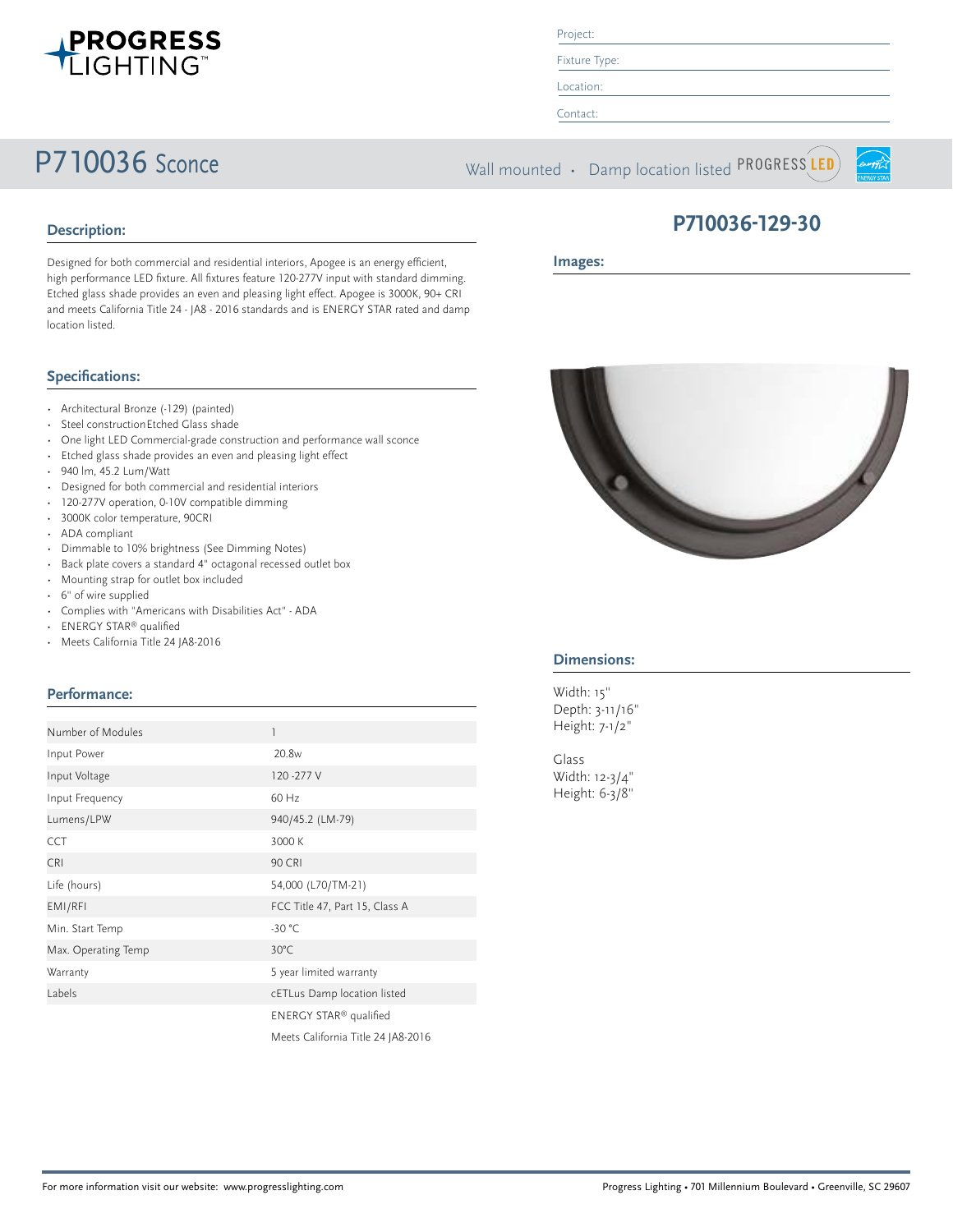

Project:

Fixture Type: Location:

Contact:

P710036 Sconce Wall mounted • Damp location listed PROGRESS LED



## **P710036-129-30**

### **Images:**

Designed for both commercial and residential interiors, Apogee is an energy efficient, high performance LED fixture. All fixtures feature 120-277V input with standard dimming. Etched glass shade provides an even and pleasing light effect. Apogee is 3000K, 90+ CRI and meets California Title 24 - JA8 - 2016 standards and is ENERGY STAR rated and damp location listed.

### **Specifications:**

**Description:**

- Architectural Bronze (-129) (painted)
- Steel constructionEtched Glass shade
- One light LED Commercial-grade construction and performance wall sconce
- Etched glass shade provides an even and pleasing light effect
- 940 lm, 45.2 Lum/Watt
- Designed for both commercial and residential interiors
- 120-277V operation, 0-10V compatible dimming
- 3000K color temperature, 90CRI
- ADA compliant
- Dimmable to 10% brightness (See Dimming Notes)
- Back plate covers a standard 4" octagonal recessed outlet box
- Mounting strap for outlet box included
- 6" of wire supplied
- Complies with "Americans with Disabilities Act" ADA
- ENERGY STAR® qualified
- Meets California Title 24 JA8-2016

### **Performance:**

| Number of Modules   |                                    |  |
|---------------------|------------------------------------|--|
| Input Power         | 20.8 <sub>w</sub>                  |  |
| Input Voltage       | 120 - 277 V                        |  |
| Input Frequency     | 60 Hz                              |  |
| Lumens/LPW          | 940/45.2 (LM-79)                   |  |
| <b>CCT</b>          | 3000 K                             |  |
| <b>CRI</b>          | <b>90 CRI</b>                      |  |
| Life (hours)        | 54,000 (L70/TM-21)                 |  |
| EMI/RFI             | FCC Title 47, Part 15, Class A     |  |
| Min. Start Temp     | $-30 °C$                           |  |
| Max. Operating Temp | 30°C                               |  |
| Warranty            | 5 year limited warranty            |  |
| Labels              | cETLus Damp location listed        |  |
|                     | ENERGY STAR® qualified             |  |
|                     | Meets California Title 24 JA8-2016 |  |



### **Dimensions:**

Width: 15" Depth: 3-11/16" Height: 7-1/2"

Glass Width: 12-3/4" Height: 6-3/8"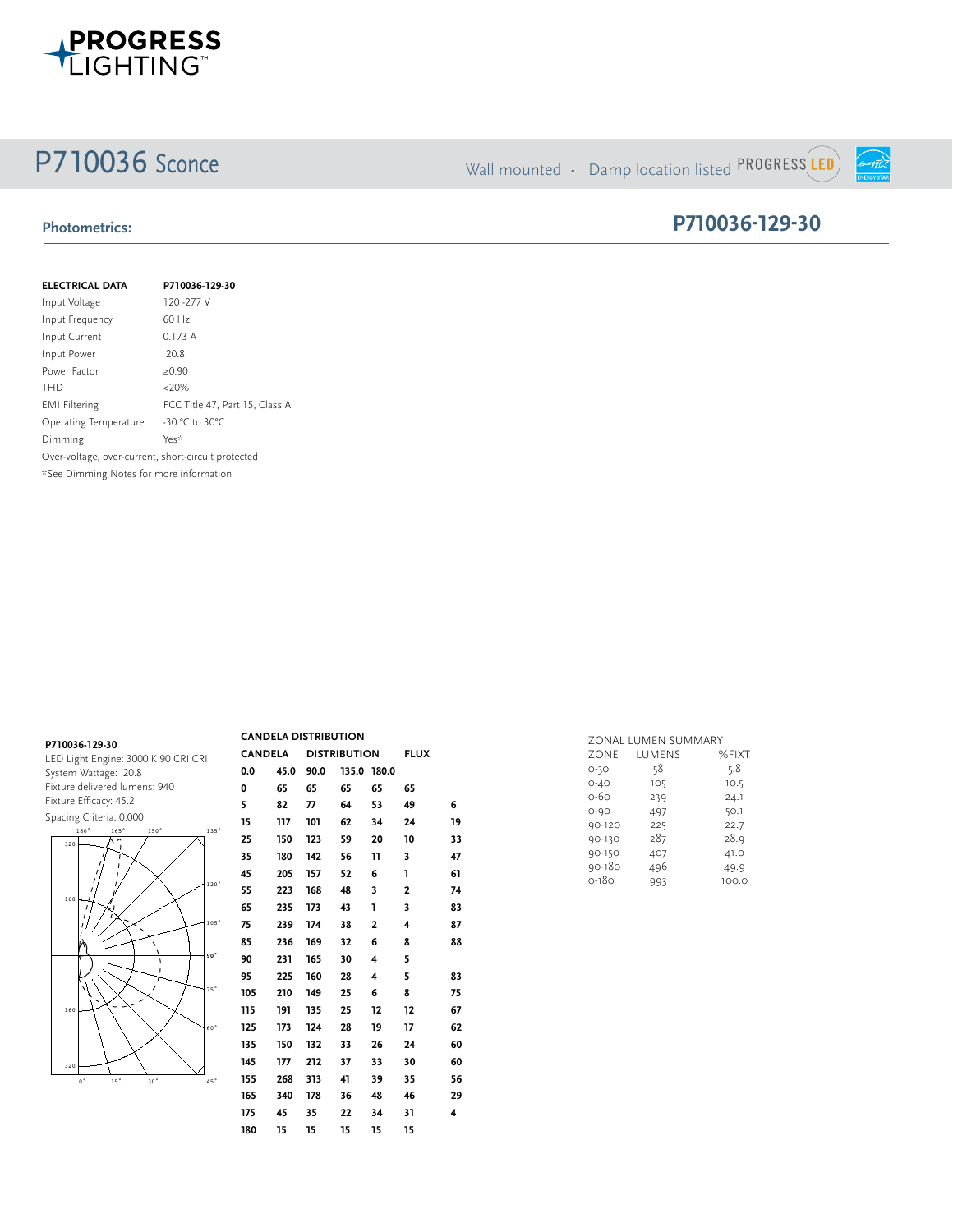

# P710036 Sconce Wall mounted • Damp location listed PROGRESS LED

**P710036-129-30**

 $\widehat{length}$ 

## **Photometrics:**

| <b>ELECTRICAL DATA</b>                              | P710036-129-30                 |
|-----------------------------------------------------|--------------------------------|
| Input Voltage                                       | 120 - 277 V                    |
| Input Frequency                                     | 60 Hz                          |
| Input Current                                       | 0.173A                         |
| Input Power                                         | 20.8                           |
| Power Factor                                        | $\geq 0.90$                    |
| THD                                                 | $< 20\%$                       |
| <b>EMI Filtering</b>                                | FCC Title 47, Part 15, Class A |
| Operating Temperature                               | $-30$ °C to 30°C               |
| Dimming                                             | Yes*                           |
| Over-voltage, over-current, short-circuit protected |                                |
| *See Dimming Notes for more information             |                                |

| P710036-129-30                      |
|-------------------------------------|
| LED Light Engine: 3000 K 90 CRI CRI |
| System Wattage: 20.8                |
| Fixture delivered lumens: 940       |
| Fixture Efficacy: 45.2              |



| <b>CANDELA DISTRIBUTION</b> |      |                     |             |                |                |    |
|-----------------------------|------|---------------------|-------------|----------------|----------------|----|
| <b>CANDELA</b>              |      | <b>DISTRIBUTION</b> |             |                | <b>FLUX</b>    |    |
| 0.0                         | 45.0 | 90.0                | 135.0 180.0 |                |                |    |
| 0                           | 65   | 65                  | 65          | 65             | 65             |    |
| 5                           | 82   | 77                  | 64          | 53             | 49             | 6  |
| 15                          | 117  | 101                 | 62          | 34             | 24             | 19 |
| 25                          | 150  | 123                 | 59          | 20             | 10             | 33 |
| 35                          | 180  | 142                 | 56          | 11             | 3              | 47 |
| 45                          | 205  | 157                 | 52          | 6              | ı              | 61 |
| 55                          | 223  | 168                 | 48          | 3              | $\overline{2}$ | 74 |
| 65                          | 235  | 173                 | 43          | ı              | 3              | 83 |
| 75                          | 239  | 174                 | 38          | $\overline{2}$ | 4              | 87 |
| 85                          | 236  | 169                 | 32          | 6              | 8              | 88 |
| 90                          | 231  | 165                 | 30          | 4              | 5              |    |
| 95                          | 225  | 160                 | 28          | 4              | 5              | 83 |
| 105                         | 210  | 149                 | 25          | 6              | 8              | 75 |
| 115                         | 191  | 135                 | 25          | 12             | 12             | 67 |
| 125                         | 173  | 124                 | 28          | 19             | 17             | 62 |
| 135                         | 150  | 132                 | 33          | 26             | 24             | 60 |
| 145                         | 177  | 212                 | 37          | 33             | 30             | 60 |
| 155                         | 268  | 313                 | 41          | 39             | 35             | 56 |
| 165                         | 340  | 178                 | 36          | 48             | 46             | 29 |
| 175                         | 45   | 35                  | 22          | 34             | 31             | 4  |
| 180                         | 15   | 15                  | 15          | 15             | 15             |    |

|          | ZONAL LUMEN SUMMARY |       |
|----------|---------------------|-------|
| ZONE     | LUMENS              | %FIXT |
| $O-3O$   | 58                  | 5.8   |
| $O - 4O$ | 105                 | 10.5  |
| 0-60     | 239                 | 24.1  |
| $O - 9O$ | 497                 | 50.1  |
| 90-120   | 225                 | 22.7  |
| 90-130   | 287                 | 28.9  |
| 90-150   | 407                 | 41.0  |
| 90-180   | 496                 | 49.9  |
| $O-18O$  | 993                 | 100.0 |